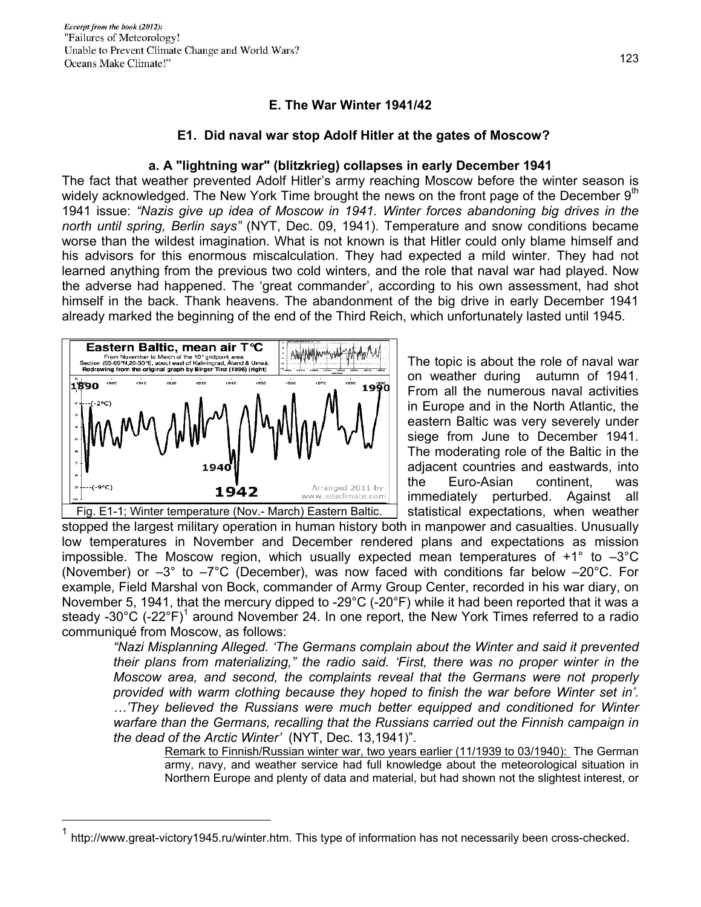## **E. The War Winter 1941/42**

## **E1. Did naval war stop Adolf Hitler at the gates of Moscow?**

### **a. A "lightning war" (blitzkrieg) collapses in early December 1941**

The fact that weather prevented Adolf Hitler's army reaching Moscow before the winter season is widely acknowledged. The New York Time brought the news on the front page of the December  $9<sup>th</sup>$ 1941 issue: *"Nazis give up idea of Moscow in 1941. Winter forces abandoning big drives in the north until spring, Berlin says"* (NYT, Dec. 09, 1941). Temperature and snow conditions became worse than the wildest imagination. What is not known is that Hitler could only blame himself and his advisors for this enormous miscalculation. They had expected a mild winter. They had not learned anything from the previous two cold winters, and the role that naval war had played. Now the adverse had happened. The 'great commander', according to his own assessment, had shot himself in the back. Thank heavens. The abandonment of the big drive in early December 1941 already marked the beginning of the end of the Third Reich, which unfortunately lasted until 1945.



 $\overline{a}$ 

The topic is about the role of naval war on weather during autumn of 1941. From all the numerous naval activities in Europe and in the North Atlantic, the eastern Baltic was very severely under siege from June to December 1941. The moderating role of the Baltic in the adjacent countries and eastwards, into the Euro-Asian continent, was immediately perturbed. Against all statistical expectations, when weather

stopped the largest military operation in human history both in manpower and casualties. Unusually low temperatures in November and December rendered plans and expectations as mission impossible. The Moscow region, which usually expected mean temperatures of +1° to –3°C (November) or –3° to –7°C (December), was now faced with conditions far below –20°C. For example, Field Marshal von Bock, commander of Army Group Center, recorded in his war diary, on November 5, 1941, that the mercury dipped to -29°C (-20°F) while it had been reported that it was a steady -30°C (-22°F)<sup>1</sup> around November 24. In one report, the New York Times referred to a radio communiqué from Moscow, as follows:

*"Nazi Misplanning Alleged. 'The Germans complain about the Winter and said it prevented their plans from materializing," the radio said. 'First, there was no proper winter in the Moscow area, and second, the complaints reveal that the Germans were not properly provided with warm clothing because they hoped to finish the war before Winter set in'. …'They believed the Russians were much better equipped and conditioned for Winter warfare than the Germans, recalling that the Russians carried out the Finnish campaign in the dead of the Arctic Winter'* (NYT, Dec. 13,1941)".

Remark to Finnish/Russian winter war, two years earlier (11/1939 to 03/1940): The German army, navy, and weather service had full knowledge about the meteorological situation in Northern Europe and plenty of data and material, but had shown not the slightest interest, or

http://www.great-victory1945.ru/winter.htm. This type of information has not necessarily been cross-checked.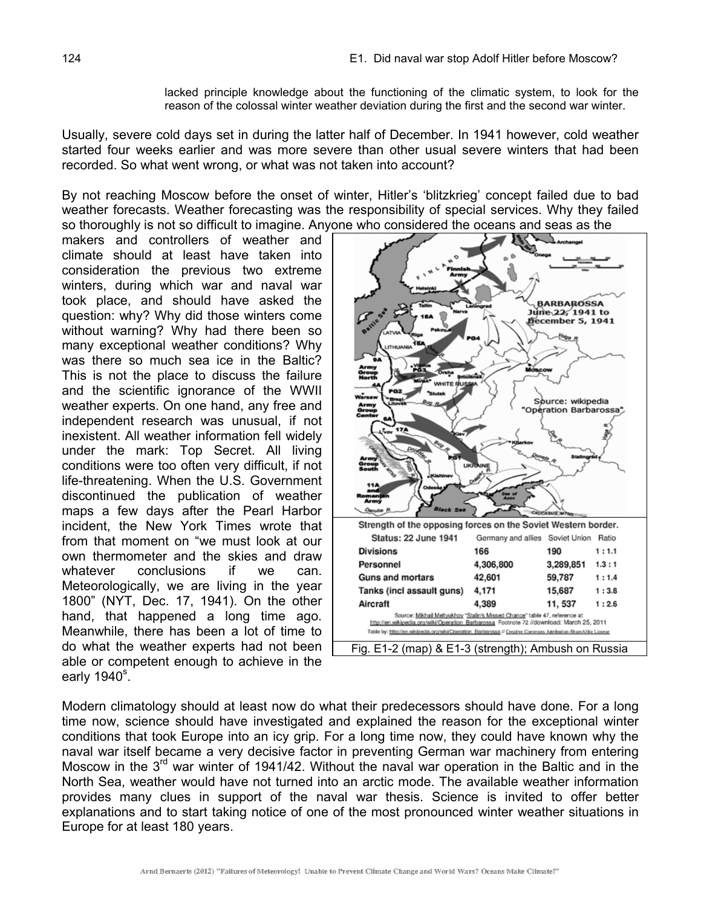lacked principle knowledge about the functioning of the climatic system, to look for the reason of the colossal winter weather deviation during the first and the second war winter.

Usually, severe cold days set in during the latter half of December. In 1941 however, cold weather started four weeks earlier and was more severe than other usual severe winters that had been recorded. So what went wrong, or what was not taken into account?

By not reaching Moscow before the onset of winter, Hitler's 'blitzkrieg' concept failed due to bad weather forecasts. Weather forecasting was the responsibility of special services. Why they failed so thoroughly is not so difficult to imagine. Anyone who considered the oceans and seas as the

makers and controllers of weather and climate should at least have taken into consideration the previous two extreme winters, during which war and naval war took place, and should have asked the question: why? Why did those winters come without warning? Why had there been so many exceptional weather conditions? Why was there so much sea ice in the Baltic? This is not the place to discuss the failure and the scientific ignorance of the WWII weather experts. On one hand, any free and independent research was unusual, if not inexistent. All weather information fell widely under the mark: Top Secret. All living conditions were too often very difficult, if not life-threatening. When the U.S. Government discontinued the publication of weather maps a few days after the Pearl Harbor incident, the New York Times wrote that from that moment on "we must look at our own thermometer and the skies and draw whatever conclusions if we can. Meteorologically, we are living in the year 1800" (NYT, Dec. 17, 1941). On the other hand, that happened a long time ago. Meanwhile, there has been a lot of time to do what the weather experts had not been able or competent enough to achieve in the early 1940 $^{\circ}$ .



Modern climatology should at least now do what their predecessors should have done. For a long time now, science should have investigated and explained the reason for the exceptional winter conditions that took Europe into an icy grip. For a long time now, they could have known why the naval war itself became a very decisive factor in preventing German war machinery from entering Moscow in the  $3<sup>rd</sup>$  war winter of 1941/42. Without the naval war operation in the Baltic and in the North Sea, weather would have not turned into an arctic mode. The available weather information provides many clues in support of the naval war thesis. Science is invited to offer better explanations and to start taking notice of one of the most pronounced winter weather situations in Europe for at least 180 years.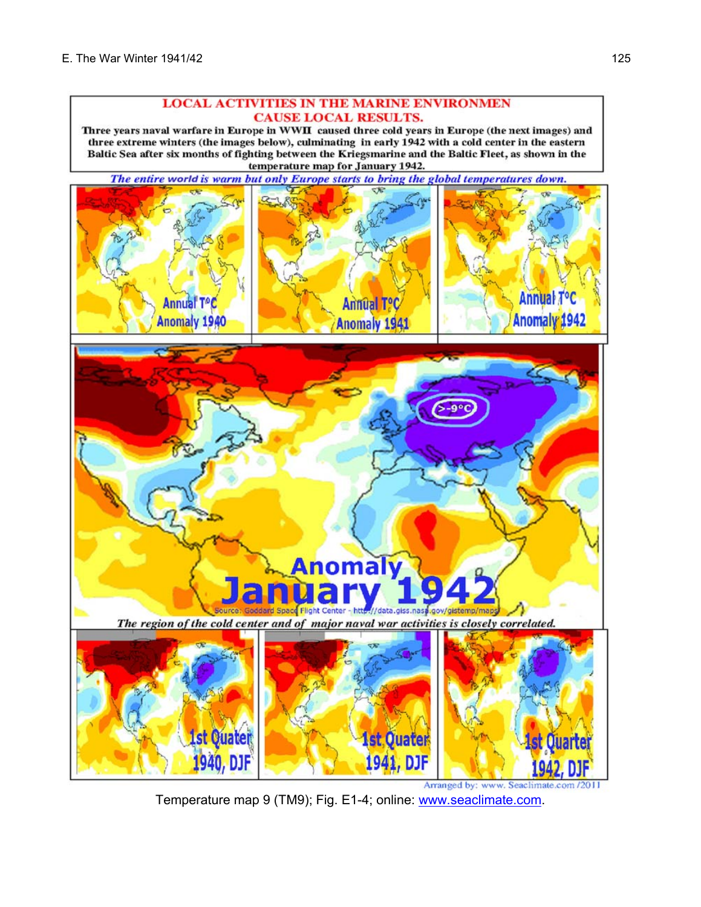#### **LOCAL ACTIVITIES IN THE MARINE ENVIRONMEN CAUSE LOCAL RESULTS.**

Three years naval warfare in Europe in WWII caused three cold years in Europe (the next images) and three extreme winters (the images below), culminating in early 1942 with a cold center in the eastern Baltic Sea after six months of fighting between the Kriegsmarine and the Baltic Fleet, as shown in the temperature map for January 1942.

The entire world is warm but only Europe starts to bring the global temperatures down.



Arranged by: www. Seaclimate.com /201 Temperature map 9 (TM9); Fig. E1-4; online: www.seaclimate.com.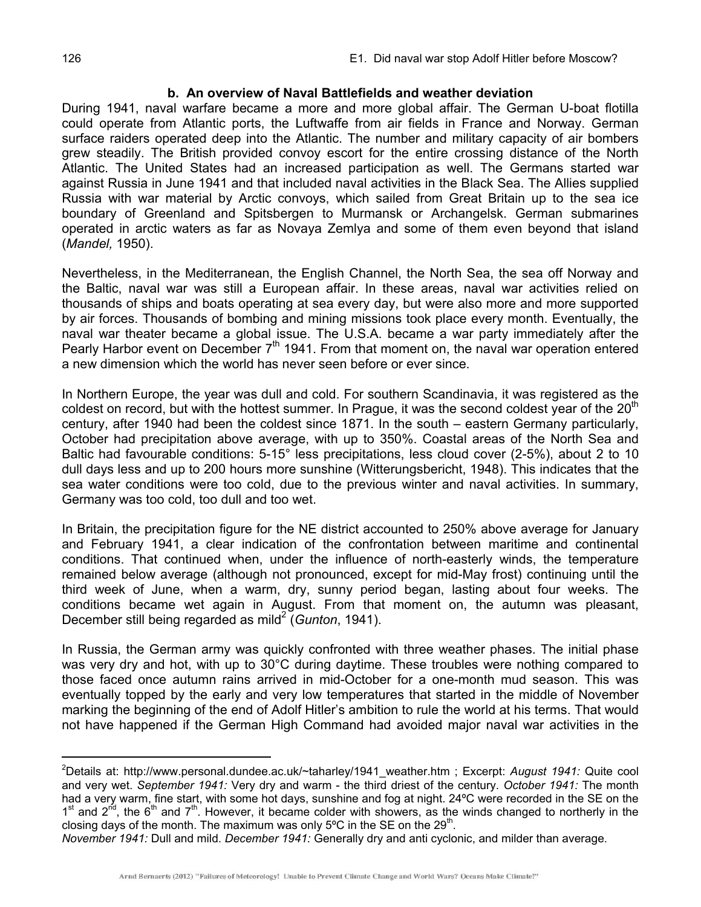### **b. An overview of Naval Battlefields and weather deviation**

During 1941, naval warfare became a more and more global affair. The German U-boat flotilla could operate from Atlantic ports, the Luftwaffe from air fields in France and Norway. German surface raiders operated deep into the Atlantic. The number and military capacity of air bombers grew steadily. The British provided convoy escort for the entire crossing distance of the North Atlantic. The United States had an increased participation as well. The Germans started war against Russia in June 1941 and that included naval activities in the Black Sea. The Allies supplied Russia with war material by Arctic convoys, which sailed from Great Britain up to the sea ice boundary of Greenland and Spitsbergen to Murmansk or Archangelsk. German submarines operated in arctic waters as far as Novaya Zemlya and some of them even beyond that island (*Mandel,* 1950).

Nevertheless, in the Mediterranean, the English Channel, the North Sea, the sea off Norway and the Baltic, naval war was still a European affair. In these areas, naval war activities relied on thousands of ships and boats operating at sea every day, but were also more and more supported by air forces. Thousands of bombing and mining missions took place every month. Eventually, the naval war theater became a global issue. The U.S.A. became a war party immediately after the Pearly Harbor event on December 7<sup>th</sup> 1941. From that moment on, the naval war operation entered a new dimension which the world has never seen before or ever since.

In Northern Europe, the year was dull and cold. For southern Scandinavia, it was registered as the coldest on record, but with the hottest summer. In Prague, it was the second coldest year of the  $20<sup>th</sup>$ century, after 1940 had been the coldest since 1871. In the south – eastern Germany particularly, October had precipitation above average, with up to 350%. Coastal areas of the North Sea and Baltic had favourable conditions: 5-15° less precipitations, less cloud cover (2-5%), about 2 to 10 dull days less and up to 200 hours more sunshine (Witterungsbericht, 1948). This indicates that the sea water conditions were too cold, due to the previous winter and naval activities. In summary, Germany was too cold, too dull and too wet.

In Britain, the precipitation figure for the NE district accounted to 250% above average for January and February 1941, a clear indication of the confrontation between maritime and continental conditions. That continued when, under the influence of north-easterly winds, the temperature remained below average (although not pronounced, except for mid-May frost) continuing until the third week of June, when a warm, dry, sunny period began, lasting about four weeks. The conditions became wet again in August. From that moment on, the autumn was pleasant, December still being regarded as mild<sup>2</sup> (*Gunton*, 1941).

In Russia, the German army was quickly confronted with three weather phases. The initial phase was very dry and hot, with up to 30°C during daytime. These troubles were nothing compared to those faced once autumn rains arrived in mid-October for a one-month mud season. This was eventually topped by the early and very low temperatures that started in the middle of November marking the beginning of the end of Adolf Hitler's ambition to rule the world at his terms. That would not have happened if the German High Command had avoided major naval war activities in the

 $\overline{a}$ 

<sup>2</sup> Details at: http://www.personal.dundee.ac.uk/~taharley/1941\_weather.htm ; Excerpt: *August 1941:* Quite cool and very wet. *September 1941:* Very dry and warm - the third driest of the century. *October 1941:* The month had a very warm, fine start, with some hot days, sunshine and fog at night. 24ºC were recorded in the SE on the  $1<sup>st</sup>$  and  $2<sup>nd</sup>$ , the 6<sup>th</sup> and 7<sup>th</sup>. However, it became colder with showers, as the winds changed to northerly in the closing days of the month. The maximum was only  $5^{\circ}$ C in the SE on the 29<sup>th</sup>.

*November 1941:* Dull and mild. *December 1941:* Generally dry and anti cyclonic, and milder than average*.*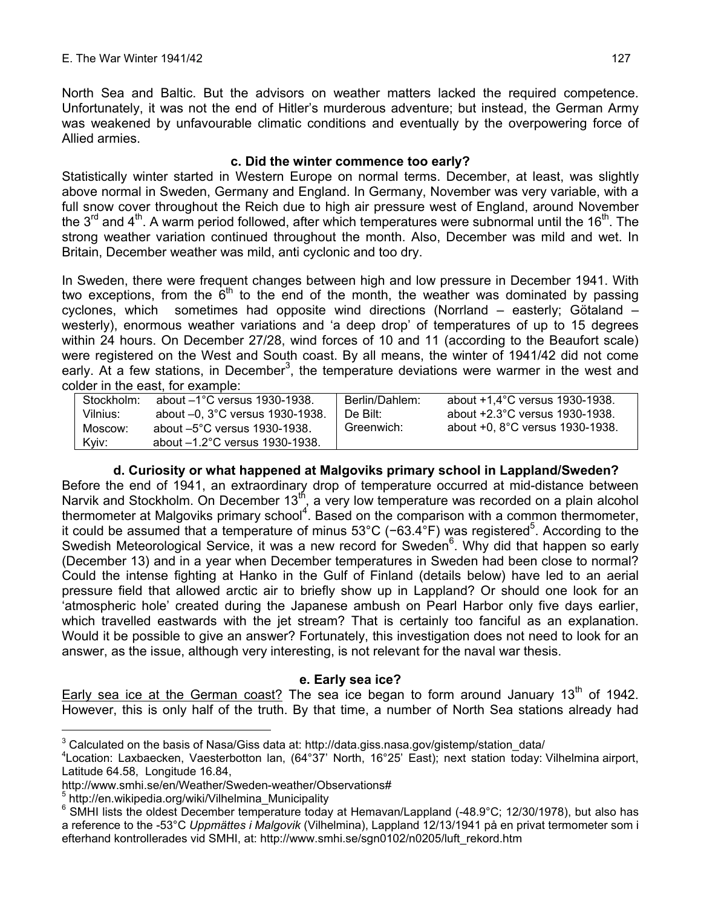North Sea and Baltic. But the advisors on weather matters lacked the required competence. Unfortunately, it was not the end of Hitler's murderous adventure; but instead, the German Army was weakened by unfavourable climatic conditions and eventually by the overpowering force of Allied armies.

## **c. Did the winter commence too early?**

Statistically winter started in Western Europe on normal terms. December, at least, was slightly above normal in Sweden, Germany and England. In Germany, November was very variable, with a full snow cover throughout the Reich due to high air pressure west of England, around November the  $3<sup>rd</sup>$  and  $4<sup>th</sup>$ . A warm period followed, after which temperatures were subnormal until the 16<sup>th</sup>. The strong weather variation continued throughout the month. Also, December was mild and wet. In Britain, December weather was mild, anti cyclonic and too dry.

In Sweden, there were frequent changes between high and low pressure in December 1941. With two exceptions, from the  $6<sup>th</sup>$  to the end of the month, the weather was dominated by passing cyclones, which sometimes had opposite wind directions (Norrland – easterly; Götaland – westerly), enormous weather variations and 'a deep drop' of temperatures of up to 15 degrees within 24 hours. On December 27/28, wind forces of 10 and 11 (according to the Beaufort scale) were registered on the West and South coast. By all means, the winter of 1941/42 did not come early. At a few stations, in December<sup>3</sup>, the temperature deviations were warmer in the west and colder in the east, for example:

| Stockholm:       | about $-1$ °C versus 1930-1938.                                          | Berlin/Dahlem: | about +1.4°C versus 1930-1938.  |
|------------------|--------------------------------------------------------------------------|----------------|---------------------------------|
| Vilnius:         | about $-0$ , 3 $\degree$ C versus 1930-1938.                             | De Bilt:       | about +2.3°C versus 1930-1938.  |
| Moscow:<br>Kyiv: | about $-5^{\circ}$ C versus 1930-1938.<br>about -1.2°C versus 1930-1938. | Greenwich:     | about +0, 8°C versus 1930-1938. |

# **d. Curiosity or what happened at Malgoviks primary school in Lappland/Sweden?**

Before the end of 1941, an extraordinary drop of temperature occurred at mid-distance between Narvik and Stockholm. On December 13<sup>th</sup>, a very low temperature was recorded on a plain alcohol thermometer at Malgoviks primary school<sup>4</sup>. Based on the comparison with a common thermometer, it could be assumed that a temperature of minus 53°C (-63.4°F) was registered<sup>5</sup>. According to the Swedish Meteorological Service, it was a new record for Sweden<sup>6</sup>. Why did that happen so early (December 13) and in a year when December temperatures in Sweden had been close to normal? Could the intense fighting at Hanko in the Gulf of Finland (details below) have led to an aerial pressure field that allowed arctic air to briefly show up in Lappland? Or should one look for an 'atmospheric hole' created during the Japanese ambush on Pearl Harbor only five days earlier, which travelled eastwards with the jet stream? That is certainly too fanciful as an explanation. Would it be possible to give an answer? Fortunately, this investigation does not need to look for an answer, as the issue, although very interesting, is not relevant for the naval war thesis.

## **e. Early sea ice?**

Early sea ice at the German coast? The sea ice began to form around January 13<sup>th</sup> of 1942. However, this is only half of the truth. By that time, a number of North Sea stations already had

 $\overline{a}$ 

<sup>&</sup>lt;sup>3</sup> Calculated on the basis of Nasa/Giss data at: http://data.giss.nasa.gov/gistemp/station\_data/<br><sup>4</sup>1 eestign: Laybeeskan, Vasatsrhetten lan. (64327) Nath. 46325' Feet); neyt etation today;

Location: Laxbaecken, Vaesterbotton lan, (64°37' North, 16°25' East); next station today: Vilhelmina airport, Latitude 64.58, Longitude 16.84,

http://www.smhi.se/en/Weather/Sweden-weather/Observations#

<sup>5</sup> http://en.wikipedia.org/wiki/Vilhelmina\_Municipality

<sup>&</sup>lt;sup>6</sup> SMHI lists the oldest December temperature today at Hemavan/Lappland (-48.9°C; 12/30/1978), but also has a reference to the -53°C *Uppmättes i Malgovik* (Vilhelmina), Lappland 12/13/1941 på en privat termometer som i efterhand kontrollerades vid SMHI, at: http://www.smhi.se/sgn0102/n0205/luft\_rekord.htm